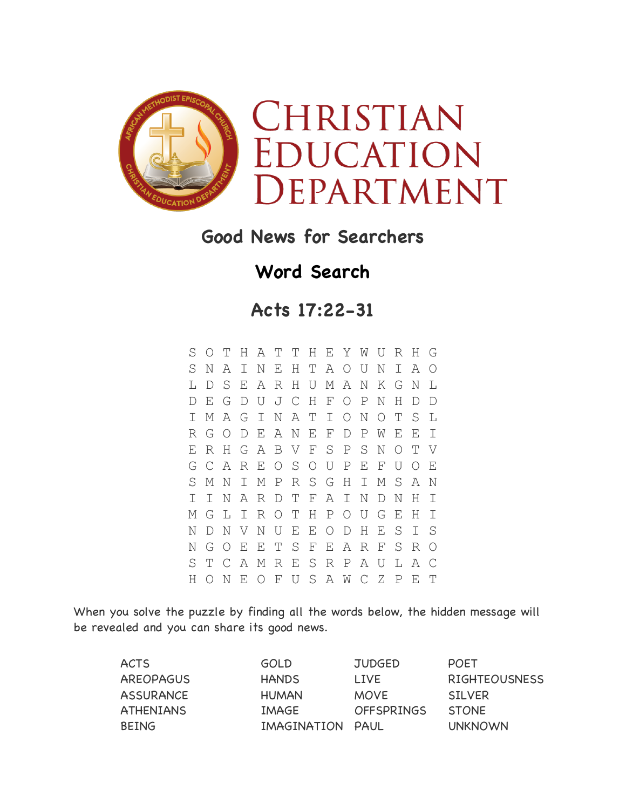

## **Good News for Searchers**

## **Word Search**

**Acts 17:22-31**

S O T H A T T H E Y W U R H G S N A I N E H T A O U N I A O L D S E A R H U M A N K G N L D E G D U J C H F O P N H D D I M A G I N A T I O N O T S L R G O D E A N E F D P W E E I E R H G A B V F S P S N O T V G C A R E O S O U P E F U O E S M N I M P R S G H I M S A N I I N A R D T F A I N D N H I M G L I R O T H P O U G E H I N D N V N U E E O D H E S I S N G O E E T S F E A R F S R O S T C A M R E S R P A U L A C H O N E O F U S A W C Z P E T

When you solve the puzzle by finding all the words below, the hidden message will be revealed and you can share its good news.

| <b>ACTS</b>      | <b>GOLD</b>      | <b>JUDGED</b>     | <b>POET</b>          |
|------------------|------------------|-------------------|----------------------|
| <b>AREOPAGUS</b> | <b>HANDS</b>     | <b>LIVE</b>       | <b>RIGHTEOUSNESS</b> |
| <b>ASSURANCE</b> | <b>HUMAN</b>     | <b>MOVE</b>       | STI VER              |
| <b>ATHENIANS</b> | IMAGE            | <b>OFFSPRINGS</b> | <b>STONE</b>         |
| <b>BEING</b>     | IMAGINATION PAUL |                   | <b>UNKNOWN</b>       |